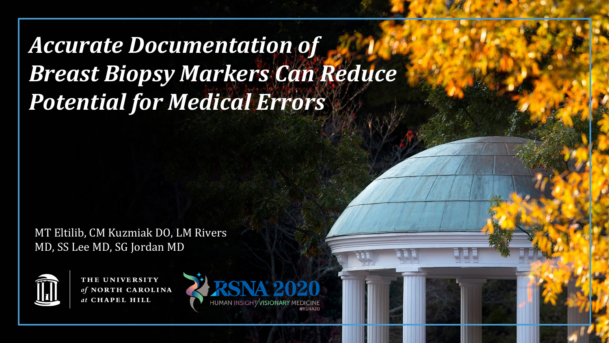*Accurate Documentation of Breast Biopsy Markers Can Reduce Potential for Medical Errors*

MT Eltilib, CM Kuzmiak DO, LM Rivers MD, SS Lee MD, SG Jordan MD



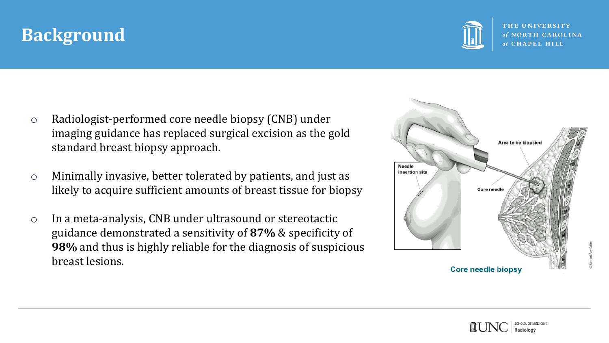## **Background**



- o Radiologist-performed core needle biopsy (CNB) under imaging guidance has replaced surgical excision as the gold standard breast biopsy approach.
- o Minimally invasive, better tolerated by patients, and just as likely to acquire sufficient amounts of breast tissue for biopsy
- o In a meta-analysis, CNB under ultrasound or stereotactic guidance demonstrated a sensitivity of **87%** & specificity of **98%** and thus is highly reliable for the diagnosis of suspicious breast lesions.



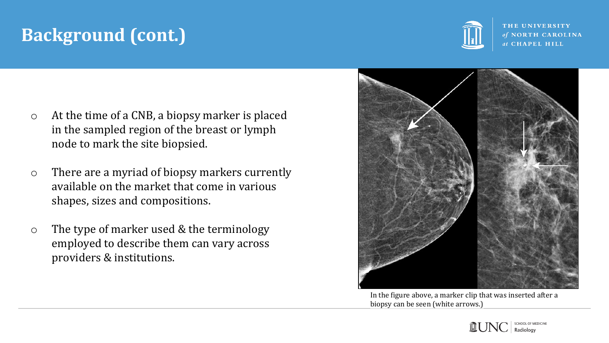# **Background (cont.)**

- o At the time of a CNB, a biopsy marker is placed in the sampled region of the breast or lymph node to mark the site biopsied.
- o There are a myriad of biopsy markers currently available on the market that come in various shapes, sizes and compositions.
- o The type of marker used & the terminology employed to describe them can vary across providers & institutions.





In the figure above, a marker clip that was inserted after a biopsy can be seen (white arrows.)

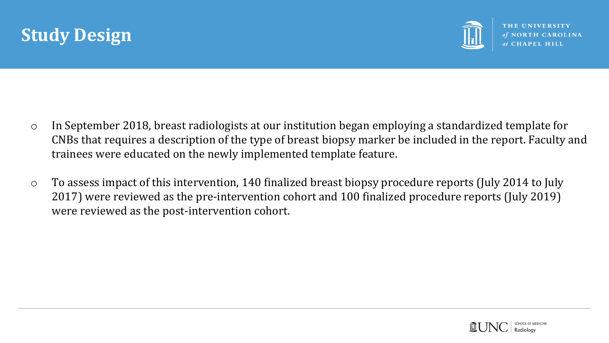



- o In September 2018, breast radiologists at our institution began employing a standardized template for CNBs that requires a description of the type of breast biopsy marker be included in the report. Faculty and trainees were educated on the newly implemented template feature.
- o To assess impact of this intervention, 140 finalized breast biopsy procedure reports (July 2014 to July 2017) were reviewed as the pre-intervention cohort and 100 finalized procedure reports (July 2019) were reviewed as the post-intervention cohort.

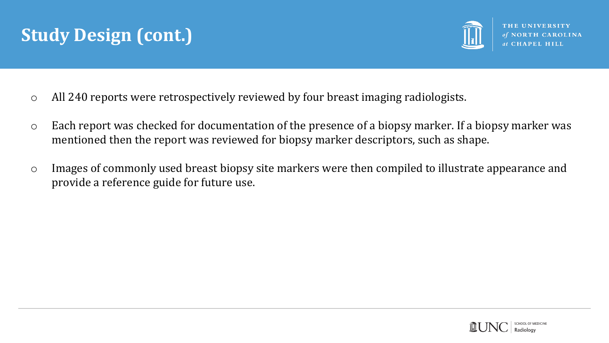## **Study Design (cont.)**



- o All 240 reports were retrospectively reviewed by four breast imaging radiologists.
- o Each report was checked for documentation of the presence of a biopsy marker. If a biopsy marker was mentioned then the report was reviewed for biopsy marker descriptors, such as shape.
- o Images of commonly used breast biopsy site markers were then compiled to illustrate appearance and provide a reference guide for future use.

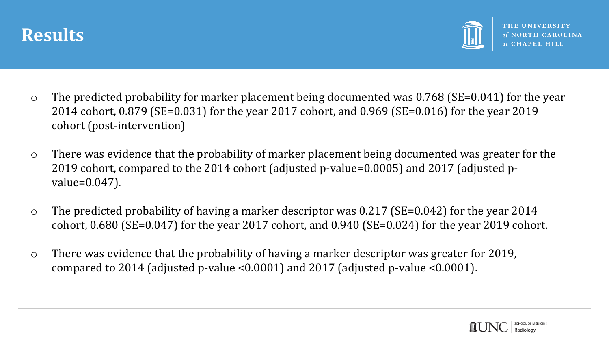



- o The predicted probability for marker placement being documented was 0.768 (SE=0.041) for the year 2014 cohort, 0.879 (SE=0.031) for the year 2017 cohort, and 0.969 (SE=0.016) for the year 2019 cohort (post-intervention)
- o There was evidence that the probability of marker placement being documented was greater for the 2019 cohort, compared to the 2014 cohort (adjusted p-value=0.0005) and 2017 (adjusted pvalue=0.047).
- o The predicted probability of having a marker descriptor was 0.217 (SE=0.042) for the year 2014 cohort, 0.680 (SE=0.047) for the year 2017 cohort, and 0.940 (SE=0.024) for the year 2019 cohort.
- o There was evidence that the probability of having a marker descriptor was greater for 2019, compared to 2014 (adjusted p-value <0.0001) and 2017 (adjusted p-value <0.0001).

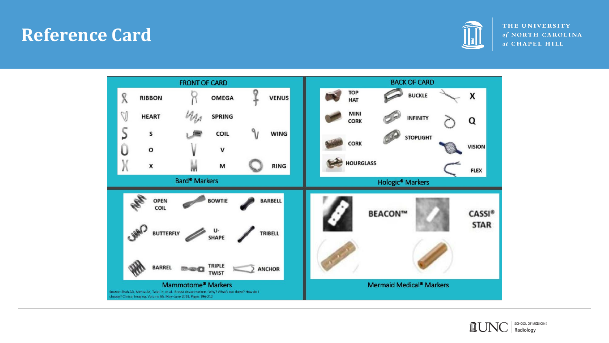#### **Reference Card**





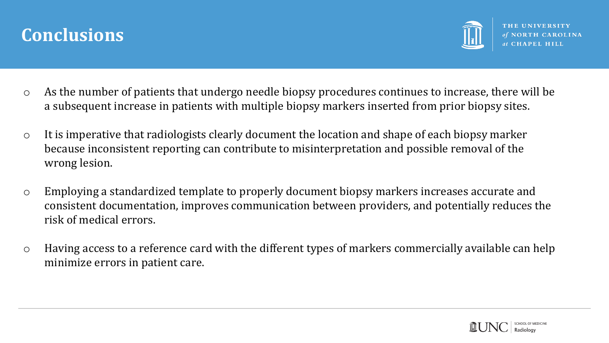



- o As the number of patients that undergo needle biopsy procedures continues to increase, there will be a subsequent increase in patients with multiple biopsy markers inserted from prior biopsy sites.
- o It is imperative that radiologists clearly document the location and shape of each biopsy marker because inconsistent reporting can contribute to misinterpretation and possible removal of the wrong lesion.
- o Employing a standardized template to properly document biopsy markers increases accurate and consistent documentation, improves communication between providers, and potentially reduces the risk of medical errors.
- o Having access to a reference card with the different types of markers commercially available can help minimize errors in patient care.

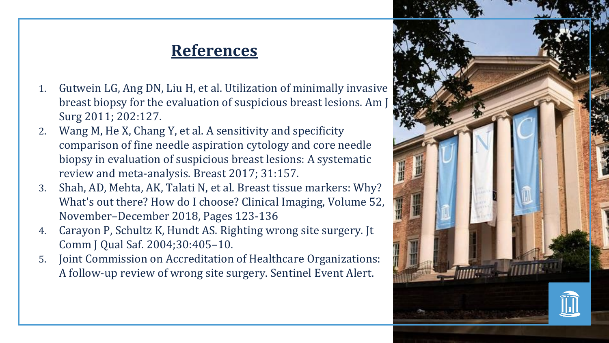#### **References**

- 1. Gutwein LG, Ang DN, Liu H, et al. Utilization of minimally invasive breast biopsy for the evaluation of suspicious breast lesions. Am  $\vert$ Surg 2011; 202:127.
- 2. Wang M, He X, Chang Y, et al. A sensitivity and specificity comparison of fine needle aspiration cytology and core needle biopsy in evaluation of suspicious breast lesions: A systematic review and meta-analysis. Breast 2017; 31:157.
- 3. Shah, AD, Mehta, AK, Talati N, et al. Breast tissue markers: Why? What's out there? How do I choose? Clinical Imaging, Volume 52, November–December 2018, Pages 123-136
- 4. Carayon P, Schultz K, Hundt AS. Righting wrong site surgery. Jt Comm J Qual Saf. 2004;30:405–10.
- 5. Joint Commission on Accreditation of Healthcare Organizations: A follow-up review of wrong site surgery. Sentinel Event Alert.